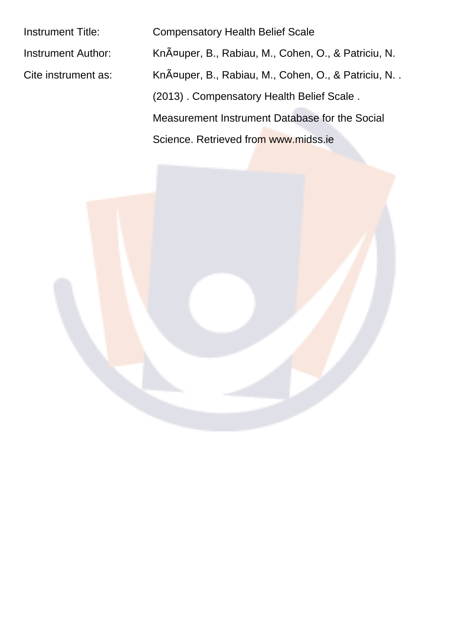Instrument Title: Compensatory Health Belief Scale

Instrument Author: KnA<sup>¤</sup>uper, B., Rabiau, M., Cohen, O., & Patriciu, N. Cite instrument as: Knäuper, B., Rabiau, M., Cohen, O., & Patriciu, N. . (2013) . Compensatory Health Belief Scale .

Measurement Instrument Database for the Social

Science. Retrieved from www.midss.ie

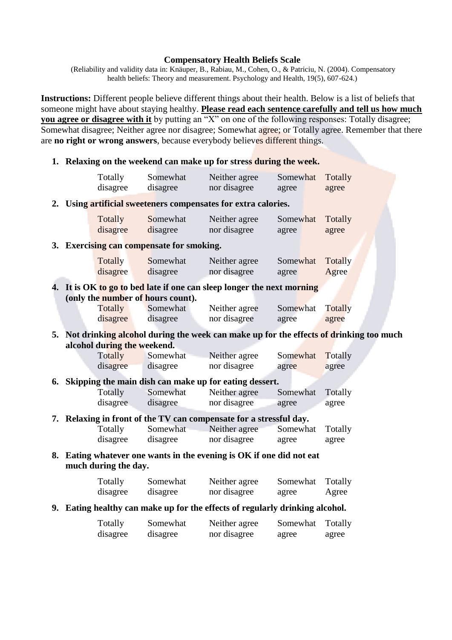## **Compensatory Health Beliefs Scale**

(Reliability and validity data in: Knäuper, B., Rabiau, M., Cohen, O., & Patriciu, N. (2004). Compensatory health beliefs: Theory and measurement. Psychology and Health, 19(5), 607-624.)

**Instructions:** Different people believe different things about their health. Below is a list of beliefs that someone might have about staying healthy. Please read each sentence carefully and tell us how much you agree or disagree with it by putting an "X" on one of the following responses: Totally disagree; Somewhat disagree; Neither agree nor disagree; Somewhat agree; or Totally agree. Remember that there are no right or wrong answers, because everybody believes different things.

## 1. Relaxing on the weekend can make up for stress during the week.

 $2.$ 

 $3.$ 

 $\overline{4}$ .

5.

6.

7.

8.

9.

|                                                                                                                      | Totally<br>disagree | Somewhat<br>disagree | Neither agree<br>nor disagree | Somewhat<br>agree | Totally<br>agree        |  |  |  |  |  |
|----------------------------------------------------------------------------------------------------------------------|---------------------|----------------------|-------------------------------|-------------------|-------------------------|--|--|--|--|--|
| Using artificial sweeteners compensates for extra calories.                                                          |                     |                      |                               |                   |                         |  |  |  |  |  |
|                                                                                                                      | Totally<br>disagree | Somewhat<br>disagree | Neither agree<br>nor disagree | Somewhat<br>agree | Totally<br>agree        |  |  |  |  |  |
| <b>Exercising can compensate for smoking.</b>                                                                        |                     |                      |                               |                   |                         |  |  |  |  |  |
|                                                                                                                      | Totally<br>disagree | Somewhat<br>disagree | Neither agree<br>nor disagree | Somewhat<br>agree | Totally<br>Agree        |  |  |  |  |  |
| It is OK to go to bed late if one can sleep longer the next morning<br>(only the number of hours count).             |                     |                      |                               |                   |                         |  |  |  |  |  |
|                                                                                                                      | Totally<br>disagree | Somewhat<br>disagree | Neither agree<br>nor disagree | Somewhat<br>agree | <b>Totally</b><br>agree |  |  |  |  |  |
| Not drinking alcohol during the week can make up for the effects of drinking too much<br>alcohol during the weekend. |                     |                      |                               |                   |                         |  |  |  |  |  |
|                                                                                                                      | Totally             | Somewhat             | Neither agree                 | Somewhat          | Totally                 |  |  |  |  |  |
|                                                                                                                      | disagree            | disagree             | nor disagree                  | agree             | agree                   |  |  |  |  |  |
| Skipping the main dish can make up for eating dessert.                                                               |                     |                      |                               |                   |                         |  |  |  |  |  |
|                                                                                                                      | Totally             | Somewhat             | Neither agree                 | Somewhat          | Totally                 |  |  |  |  |  |
|                                                                                                                      | disagree            | disagree             | nor disagree                  | agree             | agree                   |  |  |  |  |  |
| Relaxing in front of the TV can compensate for a stressful day.                                                      |                     |                      |                               |                   |                         |  |  |  |  |  |
|                                                                                                                      | Totally             | Somewhat             | Neither agree                 | Somewhat          | Totally                 |  |  |  |  |  |
|                                                                                                                      | disagree            | disagree             | nor disagree                  | agree             | agree                   |  |  |  |  |  |
| Eating whatever one wants in the evening is OK if one did not eat<br>much during the day.                            |                     |                      |                               |                   |                         |  |  |  |  |  |
|                                                                                                                      | Totally<br>disagree | Somewhat<br>disagree | Neither agree<br>nor disagree | Somewhat<br>agree | Totally<br>Agree        |  |  |  |  |  |
| Eating healthy can make up for the effects of regularly drinking alcohol.                                            |                     |                      |                               |                   |                         |  |  |  |  |  |
|                                                                                                                      | Totally<br>disagree | Somewhat<br>disagree | Neither agree<br>nor disagree | Somewhat<br>agree | Totally<br>agree        |  |  |  |  |  |
|                                                                                                                      |                     |                      |                               |                   |                         |  |  |  |  |  |